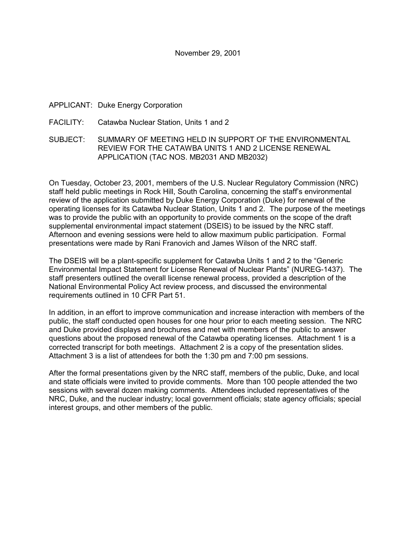## APPLICANT: Duke Energy Corporation

### FACILITY: Catawba Nuclear Station, Units 1 and 2

## SUBJECT: SUMMARY OF MEETING HELD IN SUPPORT OF THE ENVIRONMENTAL REVIEW FOR THE CATAWBA UNITS 1 AND 2 LICENSE RENEWAL APPLICATION (TAC NOS. MB2031 AND MB2032)

On Tuesday, October 23, 2001, members of the U.S. Nuclear Regulatory Commission (NRC) staff held public meetings in Rock Hill, South Carolina, concerning the staffís environmental review of the application submitted by Duke Energy Corporation (Duke) for renewal of the operating licenses for its Catawba Nuclear Station, Units 1 and 2. The purpose of the meetings was to provide the public with an opportunity to provide comments on the scope of the draft supplemental environmental impact statement (DSEIS) to be issued by the NRC staff. Afternoon and evening sessions were held to allow maximum public participation. Formal presentations were made by Rani Franovich and James Wilson of the NRC staff.

The DSEIS will be a plant-specific supplement for Catawba Units 1 and 2 to the "Generic" Environmental Impact Statement for License Renewal of Nuclear Plantsî (NUREG-1437). The staff presenters outlined the overall license renewal process, provided a description of the National Environmental Policy Act review process, and discussed the environmental requirements outlined in 10 CFR Part 51.

In addition, in an effort to improve communication and increase interaction with members of the public, the staff conducted open houses for one hour prior to each meeting session. The NRC and Duke provided displays and brochures and met with members of the public to answer questions about the proposed renewal of the Catawba operating licenses. Attachment 1 is a corrected transcript for both meetings. Attachment 2 is a copy of the presentation slides. Attachment 3 is a list of attendees for both the 1:30 pm and 7:00 pm sessions.

After the formal presentations given by the NRC staff, members of the public, Duke, and local and state officials were invited to provide comments. More than 100 people attended the two sessions with several dozen making comments. Attendees included representatives of the NRC, Duke, and the nuclear industry; local government officials; state agency officials; special interest groups, and other members of the public.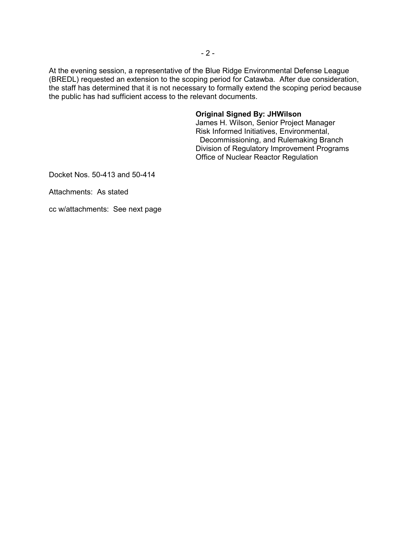At the evening session, a representative of the Blue Ridge Environmental Defense League (BREDL) requested an extension to the scoping period for Catawba. After due consideration, the staff has determined that it is not necessary to formally extend the scoping period because the public has had sufficient access to the relevant documents.

### **Original Signed By: JHWilson**

James H. Wilson, Senior Project Manager Risk Informed Initiatives, Environmental, Decommissioning, and Rulemaking Branch Division of Regulatory Improvement Programs Office of Nuclear Reactor Regulation

Docket Nos. 50-413 and 50-414

Attachments: As stated

cc w/attachments: See next page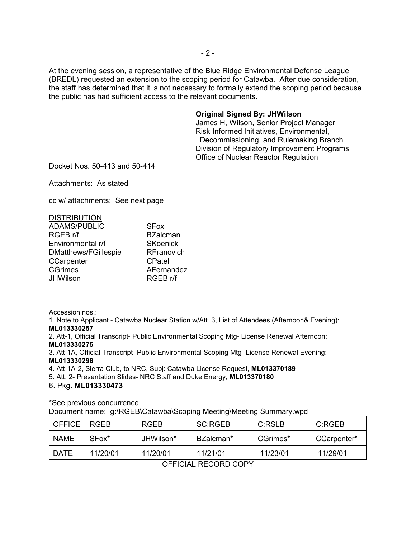At the evening session, a representative of the Blue Ridge Environmental Defense League (BREDL) requested an extension to the scoping period for Catawba. After due consideration, the staff has determined that it is not necessary to formally extend the scoping period because the public has had sufficient access to the relevant documents.

### **Original Signed By: JHWilson**

James H, Wilson, Senior Project Manager Risk Informed Initiatives, Environmental, Decommissioning, and Rulemaking Branch Division of Regulatory Improvement Programs Office of Nuclear Reactor Regulation

Docket Nos. 50-413 and 50-414

Attachments: As stated

cc w/ attachments: See next page

| <b>DISTRIBUTION</b>         |                   |
|-----------------------------|-------------------|
| <b>ADAMS/PUBLIC</b>         | <b>SFox</b>       |
| RGEB r/f                    | <b>BZalcman</b>   |
| Environmental r/f           | <b>SKoenick</b>   |
| <b>DMatthews/FGillespie</b> | <b>RFranovich</b> |
| CCarpenter                  | CPatel            |
| <b>CGrimes</b>              | AFernandez        |
| <b>JHWilson</b>             | RGEB r/f          |

Accession nos.:

1. Note to Applicant - Catawba Nuclear Station w/Att. 3, List of Attendees (Afternoon& Evening): **ML013330257**

2. Att-1, Official Transcript- Public Environmental Scoping Mtg- License Renewal Afternoon: **ML013330275**

3. Att-1A, Official Transcript- Public Environmental Scoping Mtg- License Renewal Evening: **ML013330298**

4. Att-1A-2, Sierra Club, to NRC, Subj: Catawba License Request, **ML013370189**

5. Att. 2- Presentation Slides- NRC Staff and Duke Energy, **ML013370180**

### 6. Pkg. **ML013330473**

\*See previous concurrence

Document name: g:\RGEB\Catawba\Scoping Meeting\Meeting Summary.wpd

| OFFICE   RGEB |                   | RGEB      | SC:RGEB   | C:RSLB   | C:RGEB      |
|---------------|-------------------|-----------|-----------|----------|-------------|
| <b>NAME</b>   | SFox <sup>*</sup> | JHWilson* | BZalcman* | CGrimes* | CCarpenter* |
| <b>DATE</b>   | 11/20/01          | 11/20/01  | 11/21/01  | 11/23/01 | 11/29/01    |

OFFICIAL RECORD COPY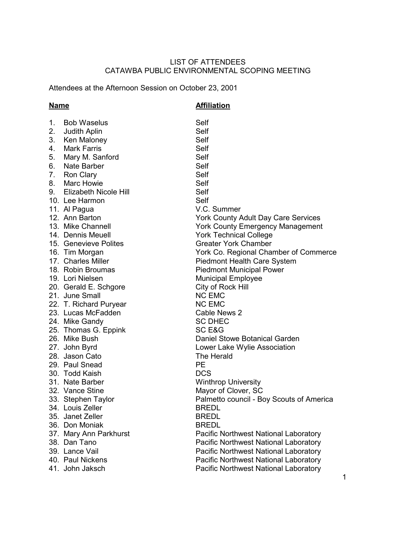## LIST OF ATTENDEES CATAWBA PUBLIC ENVIRONMENTAL SCOPING MEETING

Attendees at the Afternoon Session on October 23, 2001

## **Name Affiliation**

| $1_{-}$ | <b>Bob Waselus</b>       | Self                                       |
|---------|--------------------------|--------------------------------------------|
| 2.      | Judith Aplin             | Self                                       |
| 3.      | Ken Maloney              | Self                                       |
| 4.      | <b>Mark Farris</b>       | Self                                       |
| 5.      | Mary M. Sanford          | Self                                       |
| 6.      | Nate Barber              | Self                                       |
| 7.      | <b>Ron Clary</b>         | Self                                       |
| 8.      | Marc Howie               | Self                                       |
|         | 9. Elizabeth Nicole Hill | Self                                       |
|         | 10. Lee Harmon           | Self                                       |
|         | 11. Al Pagua             | V.C. Summer                                |
|         | 12. Ann Barton           | <b>York County Adult Day Care Services</b> |
|         | 13. Mike Channell        | <b>York County Emergency Management</b>    |
|         | 14. Dennis Meuell        | <b>York Technical College</b>              |
|         | 15. Genevieve Polites    | <b>Greater York Chamber</b>                |
|         | 16. Tim Morgan           | York Co. Regional Chamber of Commerce      |
|         | 17. Charles Miller       | <b>Piedmont Health Care System</b>         |
|         | 18. Robin Broumas        | <b>Piedmont Municipal Power</b>            |
|         | 19. Lori Nielsen         | Municipal Employee                         |
|         | 20. Gerald E. Schgore    | City of Rock Hill                          |
|         | 21. June Small           | <b>NC EMC</b>                              |
|         | 22. T. Richard Puryear   | <b>NC EMC</b>                              |
|         | 23. Lucas McFadden       | Cable News 2                               |
|         | 24. Mike Gandy           | <b>SC DHEC</b>                             |
|         | 25. Thomas G. Eppink     | SC E&G                                     |
|         | 26. Mike Bush            | Daniel Stowe Botanical Garden              |
|         | 27. John Byrd            | Lower Lake Wylie Association               |
|         | 28. Jason Cato           | The Herald                                 |
|         | 29. Paul Snead           | <b>PE</b>                                  |
|         | 30. Todd Kaish           | <b>DCS</b>                                 |
|         | 31. Nate Barber          | <b>Winthrop University</b>                 |
|         | 32. Vance Stine          | Mayor of Clover, SC                        |
|         | 33. Stephen Taylor       | Palmetto council - Boy Scouts of America   |
|         | 34. Louis Zeller         | <b>BREDL</b>                               |
|         | 35. Janet Zeller         | <b>BREDL</b>                               |
|         | 36. Don Moniak           | <b>BREDL</b>                               |
|         | 37. Mary Ann Parkhurst   | Pacific Northwest National Laboratory      |
|         | 38. Dan Tano             | Pacific Northwest National Laboratory      |
|         | 39. Lance Vail           | Pacific Northwest National Laboratory      |
|         | 40. Paul Nickens         | Pacific Northwest National Laboratory      |
|         | 41. John Jaksch          | Pacific Northwest National Laboratory      |
|         |                          |                                            |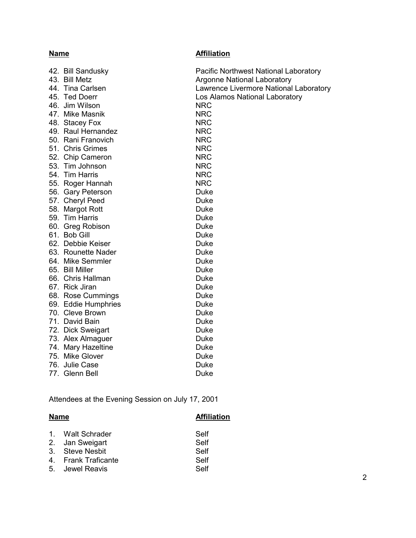# **Name Affiliation**

|  | 42. Bill Sandusky   | Pacific Northwest National Laboratory  |
|--|---------------------|----------------------------------------|
|  | 43. Bill Metz       | <b>Argonne National Laboratory</b>     |
|  | 44. Tina Carlsen    | Lawrence Livermore National Laboratory |
|  | 45. Ted Doerr       | Los Alamos National Laboratory         |
|  | 46. Jim Wilson      | <b>NRC</b>                             |
|  | 47. Mike Masnik     | <b>NRC</b>                             |
|  | 48. Stacey Fox      | <b>NRC</b>                             |
|  | 49. Raul Hernandez  | <b>NRC</b>                             |
|  | 50. Rani Franovich  | <b>NRC</b>                             |
|  | 51. Chris Grimes    | <b>NRC</b>                             |
|  | 52. Chip Cameron    | <b>NRC</b>                             |
|  | 53. Tim Johnson     | <b>NRC</b>                             |
|  | 54. Tim Harris      | <b>NRC</b>                             |
|  | 55. Roger Hannah    | <b>NRC</b>                             |
|  | 56. Gary Peterson   | Duke                                   |
|  | 57. Cheryl Peed     | Duke                                   |
|  | 58. Margot Rott     | Duke                                   |
|  | 59. Tim Harris      | Duke                                   |
|  | 60. Greg Robison    | Duke                                   |
|  | 61. Bob Gill        | Duke                                   |
|  | 62. Debbie Keiser   | Duke                                   |
|  | 63. Rounette Nader  | Duke                                   |
|  | 64. Mike Semmler    | Duke                                   |
|  | 65. Bill Miller     | Duke                                   |
|  | 66. Chris Hallman   | Duke                                   |
|  | 67. Rick Jiran      | Duke                                   |
|  | 68. Rose Cummings   | Duke                                   |
|  | 69. Eddie Humphries | Duke                                   |
|  | 70. Cleve Brown     | Duke                                   |
|  | 71. David Bain      | Duke                                   |
|  | 72. Dick Sweigart   | Duke                                   |
|  | 73. Alex Almaguer   | Duke                                   |
|  | 74. Mary Hazeltine  | Duke                                   |
|  | 75. Mike Glover     | Duke                                   |
|  | 76. Julie Case      | Duke                                   |
|  | 77. Glenn Bell      | Duke                                   |
|  |                     |                                        |

Attendees at the Evening Session on July 17, 2001

| <b>Name</b> |                     | <b>Affiliation</b> |  |
|-------------|---------------------|--------------------|--|
|             | 1. Walt Schrader    | Self               |  |
|             | 2. Jan Sweigart     | Self               |  |
|             | 3. Steve Nesbit     | Self               |  |
|             | 4. Frank Traficante | Self               |  |
|             | 5. Jewel Reavis     | Self               |  |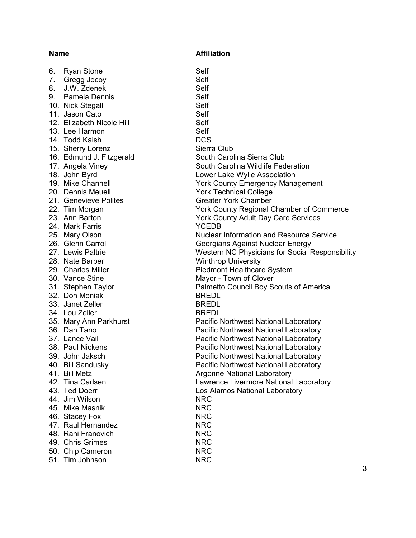6. Ryan Stone Self 7. Gregg Jocoy Self 8. J.W. Zdenek Self 9. Pamela Dennis Self 10. Nick Stegall Self 11. Jason Cato Self 12. Elizabeth Nicole Hill **Self** Self 13. Lee Harmon Self 14. Todd Kaish DCS 15. Sherry Lorenz Sierra Club 16. Edmund J. Fitzgerald South Carolina Sierra Club 20. Dennis Meuell York Technical College 21. Genevieve Polites Greater York Chamber 24. Mark Farris YCEDB 28. Nate Barber Winthrop University 30. Vance Stine Mayor - Town of Clover<br>31. Stephen Taylor Mayor - Palmetto Council Boy S 32. Don Moniak BREDL 33 Janet Zeller BREDL 34. Lou Zeller BREDL 44. Jim Wilson NRC 45. Mike Masnik NRC 46. Stacey Fox NRC 47. Raul Hernandez NRC 48. Rani Franovich NRC 49. Chris Grimes NRC 50. Chip Cameron NRC 51. Tim Johnson NRC

17. Angela Viney South Carolina Wildlife Federation 18. John Byrd **Lower Lake Wylie Association** 19. Mike Channell York County Emergency Management 22. Tim Morgan York County Regional Chamber of Commerce 23. Ann Barton York County Adult Day Care Services 25. Mary Olson Nuclear Information and Resource Service 26. Glenn Carroll **Carroll** Georgians Against Nuclear Energy 27. Lewis Paltrie **No. 28. In the Social Responsibility** Western NC Physicians for Social Responsibility 29. Charles Miller **Piedmont Healthcare System** Palmetto Council Boy Scouts of America 35. Mary Ann Parkhurst **Pacific Northwest National Laboratory** Pacific Northwest National Laboratory 36. Dan Tano Pacific Northwest National Laboratory 37. Lance Vail **Pacific Northwest National Laboratory** 38. Paul Nickens **Pacific Northwest National Laboratory** 39. John Jaksch Pacific Northwest National Laboratory 40. Bill Sandusky Pacific Northwest National Laboratory 41. Bill Metz **Argonne National Laboratory** Argonne National Laboratory 42. Tina Carlsen **Lawrence Livermore National Laboratory** Lawrence Livermore National Laboratory 43. Ted Doerr **Los Alamos National Laboratory**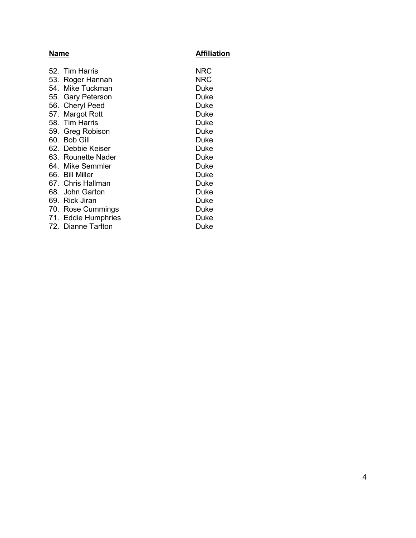## **Name Affiliation** 52. Tim Harris NRC<br>53. Roger Hannah NRC 53. Roger Hannah 54. Mike Tuckman Duke 55. Gary Peterson **Duke** 56. Cheryl Peed Duke 57. Margot Rott **Duke** 58. Tim Harris Duke 59. Greg Robison **Duke** 60. Bob Gill Duke 62. Debbie Keiser Duke 63. Rounette Nader **Duke** 64. Mike Semmler Duke 66. Bill Miller **Duke** 67. Chris Hallman Duke 68. John Garton **Duke** 69. Rick Jiran Duke 70. Rose Cummings **Duke** 71. Eddie Humphries Duke 72. Dianne Tarlton Duke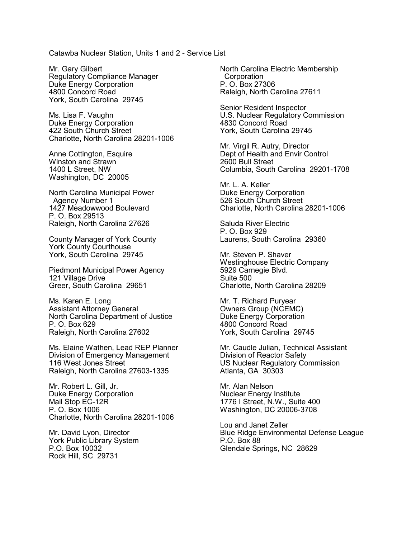Catawba Nuclear Station, Units 1 and 2 - Service List

Mr. Gary Gilbert Regulatory Compliance Manager Duke Energy Corporation 4800 Concord Road York, South Carolina 29745

Ms. Lisa F. Vaughn Duke Energy Corporation 422 South Church Street Charlotte, North Carolina 28201-1006

Anne Cottington, Esquire Winston and Strawn 1400 L Street, NW Washington, DC 20005

North Carolina Municipal Power Agency Number 1 1427 Meadowwood Boulevard P. O. Box 29513 Raleigh, North Carolina 27626

County Manager of York County York County Courthouse York, South Carolina 29745

Piedmont Municipal Power Agency 121 Village Drive Greer, South Carolina 29651

Ms. Karen E. Long Assistant Attorney General North Carolina Department of Justice P. O. Box 629 Raleigh, North Carolina 27602

Ms. Elaine Wathen, Lead REP Planner Division of Emergency Management 116 West Jones Street Raleigh, North Carolina 27603-1335

Mr. Robert L. Gill, Jr. Duke Energy Corporation Mail Stop EC-12R P. O. Box 1006 Charlotte, North Carolina 28201-1006

Mr. David Lyon, Director York Public Library System P.O. Box 10032 Rock Hill, SC 29731

North Carolina Electric Membership **Corporation** P. O. Box 27306 Raleigh, North Carolina 27611

Senior Resident Inspector U.S. Nuclear Regulatory Commission 4830 Concord Road York, South Carolina 29745

Mr. Virgil R. Autry, Director Dept of Health and Envir Control 2600 Bull Street Columbia, South Carolina 29201-1708

Mr. L. A. Keller Duke Energy Corporation 526 South Church Street Charlotte, North Carolina 28201-1006

Saluda River Electric P. O. Box 929 Laurens, South Carolina 29360

Mr. Steven P. Shaver Westinghouse Electric Company 5929 Carnegie Blvd. Suite 500 Charlotte, North Carolina 28209

Mr. T. Richard Puryear Owners Group (NCEMC) Duke Energy Corporation 4800 Concord Road York, South Carolina 29745

Mr. Caudle Julian, Technical Assistant Division of Reactor Safety US Nuclear Regulatory Commission Atlanta, GA 30303

Mr. Alan Nelson Nuclear Energy Institute 1776 I Street, N.W., Suite 400 Washington, DC 20006-3708

Lou and Janet Zeller Blue Ridge Environmental Defense League P.O. Box 88 Glendale Springs, NC 28629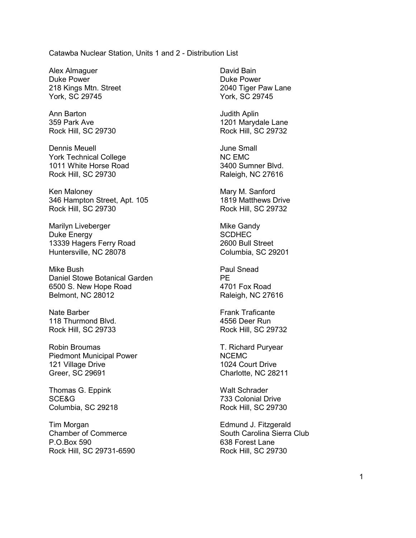### Catawba Nuclear Station, Units 1 and 2 - Distribution List

Alex Almaguer Duke Power 218 Kings Mtn. Street York, SC 29745

Ann Barton 359 Park Ave Rock Hill, SC 29730

Dennis Meuell York Technical College 1011 White Horse Road Rock Hill, SC 29730

Ken Maloney 346 Hampton Street, Apt. 105 Rock Hill, SC 29730

Marilyn Liveberger Duke Energy 13339 Hagers Ferry Road Huntersville, NC 28078

Mike Bush Daniel Stowe Botanical Garden 6500 S. New Hope Road Belmont, NC 28012

Nate Barber 118 Thurmond Blvd. Rock Hill, SC 29733

Robin Broumas Piedmont Municipal Power 121 Village Drive Greer, SC 29691

Thomas G. Eppink SCE&G Columbia, SC 29218

Tim Morgan Chamber of Commerce P.O.Box 590 Rock Hill, SC 29731-6590 David Bain Duke Power 2040 Tiger Paw Lane York, SC 29745

Judith Aplin 1201 Marydale Lane Rock Hill, SC 29732

June Small NC EMC 3400 Sumner Blvd. Raleigh, NC 27616

Mary M. Sanford 1819 Matthews Drive Rock Hill, SC 29732

Mike Gandy **SCDHEC** 2600 Bull Street Columbia, SC 29201

Paul Snead PE 4701 Fox Road Raleigh, NC 27616

Frank Traficante 4556 Deer Run Rock Hill, SC 29732

T. Richard Puryear NCEMC 1024 Court Drive Charlotte, NC 28211

Walt Schrader 733 Colonial Drive Rock Hill, SC 29730

Edmund J. Fitzgerald South Carolina Sierra Club 638 Forest Lane Rock Hill, SC 29730